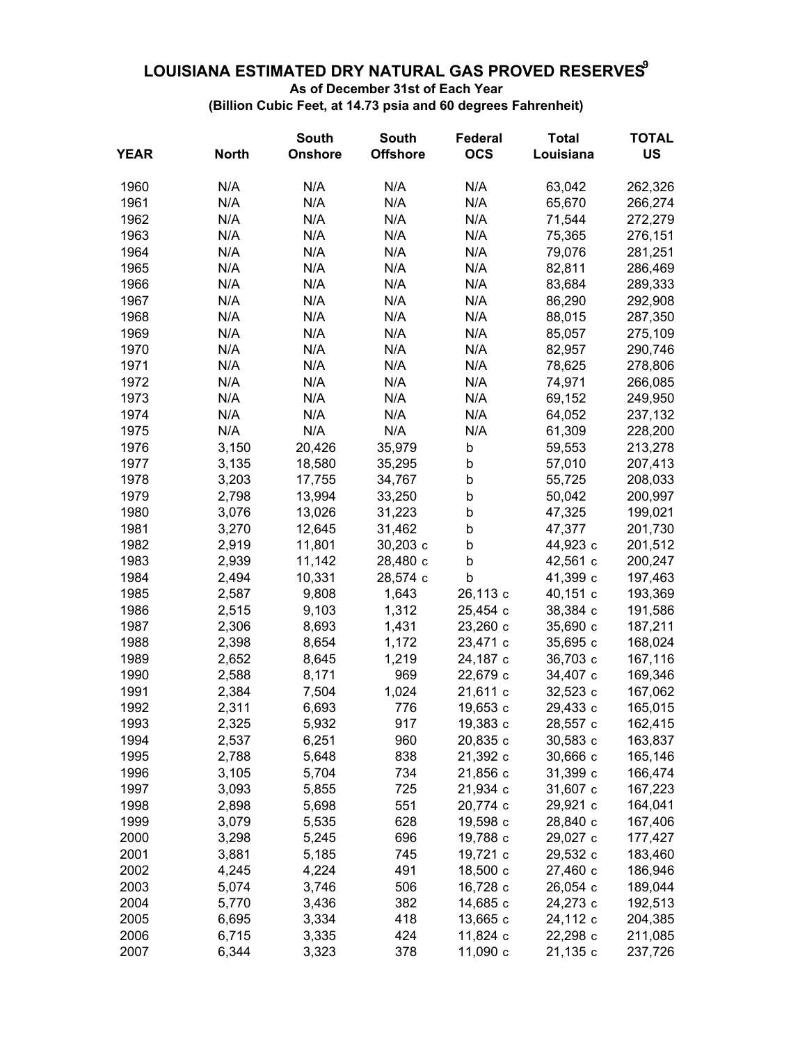## **LOUISIANA ESTIMATED DRY NATURAL GAS PROVED RESERVES9**

**As of December 31st of Each Year**

**(Billion Cubic Feet, at 14.73 psia and 60 degrees Fahrenheit)**

|             |              | <b>South</b>   | <b>South</b>    | <b>Federal</b> | <b>Total</b> | <b>TOTAL</b> |
|-------------|--------------|----------------|-----------------|----------------|--------------|--------------|
| <b>YEAR</b> | <b>North</b> | <b>Onshore</b> | <b>Offshore</b> | <b>OCS</b>     | Louisiana    | <b>US</b>    |
| 1960        | N/A          | N/A            | N/A             | N/A            | 63,042       | 262,326      |
| 1961        | N/A          | N/A            | N/A             | N/A            | 65,670       | 266,274      |
| 1962        | N/A          | N/A            | N/A             | N/A            | 71,544       | 272,279      |
| 1963        | N/A          | N/A            | N/A             | N/A            | 75,365       | 276,151      |
| 1964        | N/A          | N/A            | N/A             | N/A            | 79,076       | 281,251      |
| 1965        | N/A          | N/A            | N/A             | N/A            | 82,811       | 286,469      |
| 1966        | N/A          | N/A            | N/A             | N/A            | 83,684       | 289,333      |
| 1967        | N/A          | N/A            | N/A             | N/A            | 86,290       | 292,908      |
| 1968        | N/A          | N/A            | N/A             | N/A            | 88,015       | 287,350      |
| 1969        | N/A          | N/A            | N/A             | N/A            | 85,057       | 275,109      |
| 1970        | N/A          | N/A            | N/A             | N/A            | 82,957       | 290,746      |
| 1971        | N/A          | N/A            | N/A             | N/A            | 78,625       | 278,806      |
| 1972        | N/A          | N/A            | N/A             | N/A            | 74,971       | 266,085      |
| 1973        | N/A          | N/A            | N/A             | N/A            | 69,152       | 249,950      |
| 1974        | N/A          | N/A            | N/A             | N/A            | 64,052       | 237,132      |
| 1975        | N/A          | N/A            | N/A             | N/A            | 61,309       | 228,200      |
| 1976        | 3,150        | 20,426         | 35,979          | b              | 59,553       | 213,278      |
| 1977        | 3,135        | 18,580         | 35,295          | b              | 57,010       | 207,413      |
| 1978        | 3,203        | 17,755         | 34,767          | b              | 55,725       | 208,033      |
| 1979        | 2,798        | 13,994         | 33,250          | b              | 50,042       | 200,997      |
| 1980        | 3,076        | 13,026         | 31,223          | b              | 47,325       | 199,021      |
| 1981        | 3,270        | 12,645         | 31,462          | b              | 47,377       | 201,730      |
| 1982        | 2,919        | 11,801         | 30,203 c        | b              | 44,923 c     | 201,512      |
| 1983        | 2,939        | 11,142         | 28,480 c        | b              | 42,561 c     | 200,247      |
| 1984        | 2,494        | 10,331         | 28,574 c        | b              | 41,399 с     | 197,463      |
| 1985        | 2,587        | 9,808          | 1,643           | 26,113 c       | 40,151 c     | 193,369      |
| 1986        | 2,515        | 9,103          | 1,312           | 25,454 c       | 38,384 c     | 191,586      |
| 1987        | 2,306        | 8,693          | 1,431           | 23,260 c       | 35,690 c     | 187,211      |
| 1988        | 2,398        | 8,654          | 1,172           | 23,471 c       | 35,695 c     | 168,024      |
| 1989        | 2,652        | 8,645          | 1,219           | 24,187 c       | 36,703 c     | 167,116      |
| 1990        | 2,588        | 8,171          | 969             | 22,679 c       | 34,407 c     | 169,346      |
| 1991        | 2,384        | 7,504          | 1,024           | 21,611 c       | 32,523 c     | 167,062      |
| 1992        | 2,311        | 6,693          | 776             | 19,653 c       | 29,433 c     | 165,015      |
| 1993        | 2,325        | 5,932          | 917             | 19,383 с       | 28,557 c     | 162,415      |
| 1994        | 2,537        | 6,251          | 960             | 20,835 c       | 30,583 c     | 163,837      |
| 1995        | 2,788        | 5,648          | 838             | 21,392 c       | 30,666 c     | 165,146      |
| 1996        | 3,105        | 5,704          | 734             | 21,856 c       | 31,399 с     | 166,474      |
| 1997        | 3,093        | 5,855          | 725             | 21,934 c       | 31,607 c     | 167,223      |
| 1998        | 2,898        | 5,698          | 551             | 20,774 c       | 29,921 c     | 164,041      |
| 1999        | 3,079        | 5,535          | 628             | 19,598 с       | 28,840 c     | 167,406      |
| 2000        | 3,298        | 5,245          | 696             | 19,788 c       | 29,027 c     | 177,427      |
| 2001        | 3,881        | 5,185          | 745             | 19,721 c       | 29,532 c     | 183,460      |
| 2002        | 4,245        | 4,224          | 491             | 18,500 c       | 27,460 c     | 186,946      |
| 2003        | 5,074        | 3,746          | 506             | 16,728 c       | 26,054 c     | 189,044      |
| 2004        | 5,770        | 3,436          | 382             | 14,685 c       | 24,273 c     | 192,513      |
| 2005        | 6,695        | 3,334          | 418             | 13,665 c       | 24,112 c     | 204,385      |
| 2006        | 6,715        | 3,335          | 424             | 11,824 c       | 22,298 c     | 211,085      |
| 2007        | 6,344        | 3,323          | 378             | 11,090 c       | 21,135 c     | 237,726      |